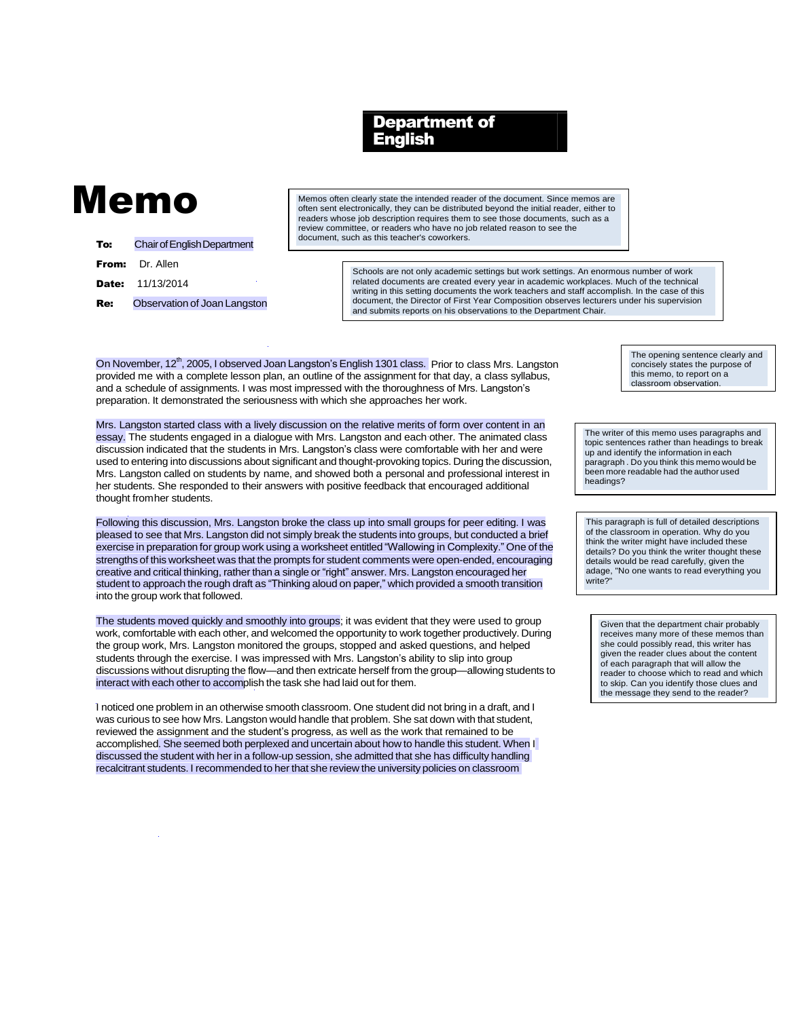## Department of English

## Memo

| To: | <b>Chair of English Department</b> |
|-----|------------------------------------|
|     | From: Dr. Allen                    |
|     | <b>Date:</b> 11/13/2014            |
| Re: | Observation of Joan Langston       |

Memos often clearly state the intended reader of the document. Since memos are often sent electronically, they can be distributed beyond the initial reader, either to readers whose job description requires them to see those documents, such as a review committee, or readers who have no job related reason to see the document, such as this teacher's coworkers.

> Schools are not only academic settings but work settings. An enormous number of work related documents are created every year in academic workplaces. Much of the technical writing in this setting documents the work teachers and staff accomplish. In the case of this document, the Director of First Year Composition observes lecturers under his supervision and submits reports on his observations to the Department Chair.

On November, 12<sup>th</sup>, 2005, I observed Joan Langston's English 1301 class. Prior to class Mrs. Langston provided me with a complete lesson plan, an outline of the assignment for that day, a class syllabus, and a schedule of assignments. I was most impressed with the thoroughness of Mrs. Langston's preparation. It demonstrated the seriousness with which she approaches her work.

Mrs. Langston started class with a lively discussion on the relative merits of form over content in an essay. The students engaged in a dialogue with Mrs. Langston and each other. The animated class discussion indicated that the students in Mrs. Langston's class were comfortable with her and were used to entering into discussions about significant and thought-provoking topics. During the discussion, Mrs. Langston called on students by name, and showed both a personal and professional interest in her students. She responded to their answers with positive feedback that encouraged additional thought fromher students.

Following this discussion, Mrs. Langston broke the class up into small groups for peer editing. I was pleased to see that Mrs. Langston did not simply break the students into groups, but conducted a brief exercise in preparation for group work using a worksheet entitled "Wallowing in Complexity." One of the strengths of this worksheet was that the prompts for student comments were open-ended, encouraging creative and critical thinking, rather than a single or "right" answer. Mrs. Langston encouraged her student to approach the rough draft as "Thinking aloud on paper," which provided a smooth transition into the group work that followed.

The students moved quickly and smoothly into groups; it was evident that they were used to group work, comfortable with each other, and welcomed the opportunity to work together productively. During the group work, Mrs. Langston monitored the groups, stopped and asked questions, and helped students through the exercise. I was impressed with Mrs. Langston's ability to slip into group discussions without disrupting the flow—and then extricate herself from the group—allowing students to interact with each other to accomplish the task she had laid out for them.

I noticed one problem in an otherwise smooth classroom. One student did not bring in a draft, and I was curious to see how Mrs. Langston would handle that problem. She sat down with that student, reviewed the assignment and the student's progress, as well as the work that remained to be accomplished. She seemed both perplexed and uncertain about how to handle this student. When I discussed the student with her in a follow-up session, she admitted that she has difficulty handling recalcitrant students. I recommended to her that she review the university policies on classroom

The opening sentence clearly and concisely states the purpose of this memo, to report on a classroom observation.

The writer of this memo uses paragraphs and topic sentences rather than headings to break up and identify the information in each paragraph . Do you think this memo would be been more readable had the author used headings?

This paragraph is full of detailed descriptions of the classroom in operation. Why do you think the writer might have included these details? Do you think the writer thought these details would be read carefully, given the adage, "No one wants to read everything you write?"

Given that the department chair probably receives many more of these memos than she could possibly read, this writer has given the reader clues about the content of each paragraph that will allow the reader to choose which to read and which to skip. Can you identify those clues and the message they send to the reader?